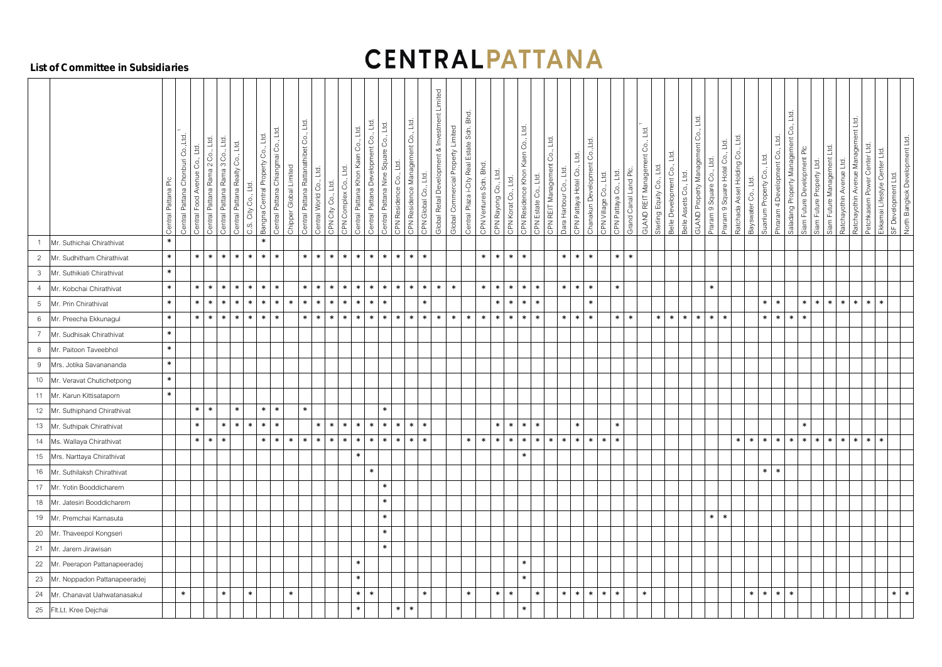# **CENTRALPATTANA**

#### **List of Committee in Subsidiaries**

|                                  | Central Pattana Plc                                   | Central Pattana Chonburi Co., Ltd. | 1d<br>Central Food Avenue Co | Central Pattana Rama 2 Co., Ltd. | Central Pattana Rama 3 Co., Ltd. | Central Pattana Realty Co., Ltd.<br>C.S. City Co., Ltd. | E<br>$\rm ^{\circ}$<br>Bangna Central Property | Central Pattana Chiangmai Co., Ltd | Chipper Global Limited | Central Pattana Rattanathibet Co., Ltd<br>Central World Co., Ltd. | CPN City Co., Ltd. | Co., Ltd.<br>Central Pattana Khon Kaen<br>Ltd.<br>CPN Complex Co., | Central Pattana Development Co., Ltd | Central Pattana Nine Square Co., Ltd.<br>CPN Residence Co., Ltd | $L_{\Omega}$<br>Co.,<br>CPN Residence Management | CPN Global Co., Ltd. | Global Retail Development & Investment Limited | Global Commercial Property Limited | Central Plaza i-City Real Estate Sdn. Bhd. | CPN Ventures Sdn. Bhd.<br>CPN Rayong Co., Ltd. | L <sub>o</sub><br>CPN Korat Co. | CPN Residence Khon Kaen Co., Ltd. | CPN REIT Management Co., Ltd.<br>CPN Estate Co., Ltd. | $L_{\Omega}$<br>Dara Harbour Co., | Co., Ltd.<br>Ltd.<br>Chanakun Development<br>CPN Pattaya Hotel Co., | CPN Village Co., Ltd. | $\overline{5}$<br>CPN Pattaya Co. | Grand Canal Land Plc | GLAND REIT Management Co., Ltd.<br>$\overline{\phantom{a}}$<br>Co.,<br>Sterling Equity | L <sub>c</sub><br>රි<br>Belle Development | <u>td</u><br>Š<br>GLAND Property Management<br>Belle Assets Co., Ltd. | Ltd<br>Co.,<br>Praram 9 Square | Ð<br>Square<br>Praram <sub>9</sub> | Ltd.<br>Ratchada Asset Holding Co | Bayswater Co., Ltd. | Suanlum Property Co., Ltd. | Saladang Property Management Co., Ltd.<br>Ltd<br>8<br>4 Development<br>Phraram | Siam Future Development Plc | Siam Future Property Ltd. | Management Ltd.<br>Future <sup>1</sup><br>Siam | Management Ltd.<br>고<br>ᆜ<br>Avenue I<br>$\mathbf{g}$<br>$\check{\hat{\mathbf{z}}}$<br>Ratchayothin<br>othin<br>Ratchay | Petchkasem Power Center Ltd. | Ekkamai Lifestyle Center Ltd | SF Development Ltd.<br>North Bangkok Development Ltd. |  |
|----------------------------------|-------------------------------------------------------|------------------------------------|------------------------------|----------------------------------|----------------------------------|---------------------------------------------------------|------------------------------------------------|------------------------------------|------------------------|-------------------------------------------------------------------|--------------------|--------------------------------------------------------------------|--------------------------------------|-----------------------------------------------------------------|--------------------------------------------------|----------------------|------------------------------------------------|------------------------------------|--------------------------------------------|------------------------------------------------|---------------------------------|-----------------------------------|-------------------------------------------------------|-----------------------------------|---------------------------------------------------------------------|-----------------------|-----------------------------------|----------------------|----------------------------------------------------------------------------------------|-------------------------------------------|-----------------------------------------------------------------------|--------------------------------|------------------------------------|-----------------------------------|---------------------|----------------------------|--------------------------------------------------------------------------------|-----------------------------|---------------------------|------------------------------------------------|-------------------------------------------------------------------------------------------------------------------------|------------------------------|------------------------------|-------------------------------------------------------|--|
|                                  | $\ast$<br>Mr. Suthichai Chirathivat                   | $\ast$                             | $\ast$                       | $*$                              | $\ast$                           | $\ast$<br>$*$                                           | $\ast$<br>$\ast$                               | $\ast$                             |                        | $\ast$<br>$\ast$                                                  | $\ast$             | $\ast$<br>* ∣                                                      | $\ast$                               | $\ast$<br>* ∣                                                   | $\ast$                                           | $\ast$               |                                                |                                    |                                            | $\ast$<br>$\ast$                               | * ∣                             | $\ast$                            |                                                       | $\ast$                            | $\ast$<br>$\ast$                                                    |                       | $\ast$                            | $\ast$               |                                                                                        |                                           |                                                                       |                                |                                    |                                   |                     |                            |                                                                                |                             |                           |                                                |                                                                                                                         |                              |                              |                                                       |  |
| $\overline{2}$                   | Mr. Sudhitham Chirathivat                             | $\ast$                             |                              |                                  |                                  |                                                         |                                                |                                    |                        |                                                                   |                    |                                                                    |                                      |                                                                 |                                                  |                      |                                                |                                    |                                            |                                                |                                 |                                   |                                                       |                                   |                                                                     |                       |                                   |                      |                                                                                        |                                           |                                                                       |                                |                                    |                                   |                     |                            |                                                                                |                             |                           |                                                |                                                                                                                         |                              |                              |                                                       |  |
| $\mathfrak{Z}$<br>$\overline{4}$ | Mr. Suthikiati Chirathivat<br>Mr. Kobchai Chirathivat | $\ast$                             | $\ast$                       | $\ast$                           | $\ast$                           | $\ast$<br>$*$                                           | $\ast$                                         | $\ast$                             |                        | $\ast$<br>$\ast$                                                  | $\ast$             | * ∣<br>$\ast$                                                      | $\ast$                               | $\ast$<br>$\ast$                                                | $\ast$                                           | $\ast$               | $\ast$                                         | $\ast$                             |                                            | $\ast$<br>$\ast$                               | $\ast$                          | $\ast$                            | $\ast$                                                | $\ast$                            | $\ast$<br>$\ast$                                                    |                       | $\ast$                            |                      |                                                                                        |                                           |                                                                       | $\ast$                         |                                    |                                   |                     |                            |                                                                                |                             |                           |                                                |                                                                                                                         |                              |                              |                                                       |  |
| $5\phantom{.0}$                  | $\ast$<br>Mr. Prin Chirathivat                        |                                    | $\ast$                       | $\ast$                           | $\ast$                           | $\ast$<br>$\ast$                                        | $\ast$                                         | $\ast$                             | $\ast$                 | $\ast$<br>$\ast$                                                  | $\ast$             | $*1$<br>$\ast$                                                     | $\ast$                               | $\ast$                                                          |                                                  | $\ast$               |                                                |                                    |                                            | $\ast$                                         | * ∣                             | $\ast$                            | $\ast$                                                |                                   | $\ast$                                                              |                       |                                   |                      |                                                                                        |                                           |                                                                       |                                |                                    |                                   |                     | $\ast$                     | $\ast$                                                                         | $\ast$                      | $\ast$                    | ∗                                              | * ∣<br>$\ast$ 1                                                                                                         | $\ast$                       | $\ast$                       |                                                       |  |
| $6\phantom{.}6$                  | Mr. Preecha Ekkunagul                                 | $\ast$                             | $\ast$                       | $\ast$                           | $\ast$                           | $\ast$<br>$*$                                           | $\ast$                                         | $\ast$                             |                        | $\ast$<br>$\ast$                                                  | $\ast$             | — ∗ ∣<br>$\ast$                                                    | $\ast$                               | $\ast$<br>$\ast$                                                | $\ast$                                           | $\ast$               | $\ast$                                         | $\ast$                             | $*$                                        | $\ast$<br>$\ast$                               | $\ast$                          | $\ast$                            | $\ast$                                                | $\ast$                            | $\ast$<br>$\ast$                                                    |                       | $\ast$                            | $\ast$               | $\ast$                                                                                 | $\ast$                                    | $\ast$<br>$\ast$                                                      | $\ast$                         | $\ast$                             |                                   |                     | $\ast$                     | $\ast$<br>$\ast$                                                               | $\ast$                      |                           |                                                |                                                                                                                         |                              |                              |                                                       |  |
|                                  | $\ast$<br>Mr. Sudhisak Chirathivat                    |                                    |                              |                                  |                                  |                                                         |                                                |                                    |                        |                                                                   |                    |                                                                    |                                      |                                                                 |                                                  |                      |                                                |                                    |                                            |                                                |                                 |                                   |                                                       |                                   |                                                                     |                       |                                   |                      |                                                                                        |                                           |                                                                       |                                |                                    |                                   |                     |                            |                                                                                |                             |                           |                                                |                                                                                                                         |                              |                              |                                                       |  |
| 8                                | Mr. Paitoon Taveebhol                                 | $\ast$                             |                              |                                  |                                  |                                                         |                                                |                                    |                        |                                                                   |                    |                                                                    |                                      |                                                                 |                                                  |                      |                                                |                                    |                                            |                                                |                                 |                                   |                                                       |                                   |                                                                     |                       |                                   |                      |                                                                                        |                                           |                                                                       |                                |                                    |                                   |                     |                            |                                                                                |                             |                           |                                                |                                                                                                                         |                              |                              |                                                       |  |
| 9                                | Mrs. Jotika Savanananda                               | $\ast$                             |                              |                                  |                                  |                                                         |                                                |                                    |                        |                                                                   |                    |                                                                    |                                      |                                                                 |                                                  |                      |                                                |                                    |                                            |                                                |                                 |                                   |                                                       |                                   |                                                                     |                       |                                   |                      |                                                                                        |                                           |                                                                       |                                |                                    |                                   |                     |                            |                                                                                |                             |                           |                                                |                                                                                                                         |                              |                              |                                                       |  |
|                                  | 10 Mr. Veravat Chutichetpong                          | $\ast$                             |                              |                                  |                                  |                                                         |                                                |                                    |                        |                                                                   |                    |                                                                    |                                      |                                                                 |                                                  |                      |                                                |                                    |                                            |                                                |                                 |                                   |                                                       |                                   |                                                                     |                       |                                   |                      |                                                                                        |                                           |                                                                       |                                |                                    |                                   |                     |                            |                                                                                |                             |                           |                                                |                                                                                                                         |                              |                              |                                                       |  |
|                                  | 11 Mr. Karun Kittisataporn                            | $\ast$                             |                              |                                  |                                  |                                                         |                                                |                                    |                        |                                                                   |                    |                                                                    |                                      |                                                                 |                                                  |                      |                                                |                                    |                                            |                                                |                                 |                                   |                                                       |                                   |                                                                     |                       |                                   |                      |                                                                                        |                                           |                                                                       |                                |                                    |                                   |                     |                            |                                                                                |                             |                           |                                                |                                                                                                                         |                              |                              |                                                       |  |
|                                  | 12 Mr. Suthiphand Chirathivat                         |                                    | $\ast$                       | $\ast$                           |                                  | $\ast$                                                  | $\ast$                                         | $\ast$                             |                        | $\ast$                                                            |                    |                                                                    |                                      | $\ast$                                                          |                                                  |                      |                                                |                                    |                                            |                                                |                                 |                                   |                                                       |                                   |                                                                     |                       |                                   |                      |                                                                                        |                                           |                                                                       |                                |                                    |                                   |                     |                            |                                                                                |                             |                           |                                                |                                                                                                                         |                              |                              |                                                       |  |
|                                  | 13 Mr. Suthipak Chirathivat                           |                                    | $\ast$                       |                                  | $\ast$                           | $\ast$<br>$*$                                           | $\ast$                                         | $\ast$                             |                        | $\ast$                                                            | $\ast$             | $*1$<br>$*$                                                        | $\ast$                               | $\ast$<br>$*$                                                   | $*$                                              | $\ast$               |                                                |                                    |                                            | $\ast$                                         | * ∣                             | $\ast$                            | $\ast$                                                |                                   | $\ast$                                                              |                       | $\ast$                            |                      |                                                                                        |                                           |                                                                       |                                |                                    |                                   |                     |                            |                                                                                | $\ast$                      |                           |                                                |                                                                                                                         |                              |                              |                                                       |  |
|                                  | 14 Ms. Wallaya Chirathivat                            |                                    | $\ast$                       | $*$                              | $\ast$                           |                                                         | $\ast$                                         | $\ast$                             | $\ast$                 | $\ast$<br>$\ast$                                                  | $\ast$             | $\ast$<br>$\vert * \vert$                                          | $\ast$                               | $\ast$<br>$\ast$                                                | * ∣                                              | $\ast$               |                                                |                                    | $\ast$                                     | $*$<br>$\ast$                                  | * ∣                             | $\ast$                            | $\ast$                                                | $*$ $*$ $*$ $*$ $*$               |                                                                     | $*$   $*$             |                                   |                      |                                                                                        |                                           |                                                                       |                                |                                    | $\ast$                            | $\ast$              | $\ast$                     | $\ast$<br>$\ast$                                                               | $\ast$                      |                           | $*$ *                                          | $*1$                                                                                                                    | $*$ *                        | $\ast$                       |                                                       |  |
|                                  | 15 Mrs. Narttaya Chirathivat                          |                                    |                              |                                  |                                  |                                                         |                                                |                                    |                        |                                                                   |                    | $\ast$                                                             |                                      |                                                                 |                                                  |                      |                                                |                                    |                                            |                                                |                                 | $\ast$                            |                                                       |                                   |                                                                     |                       |                                   |                      |                                                                                        |                                           |                                                                       |                                |                                    |                                   |                     |                            |                                                                                |                             |                           |                                                |                                                                                                                         |                              |                              |                                                       |  |
|                                  | 16 Mr. Suthilaksh Chirathivat                         |                                    |                              |                                  |                                  |                                                         |                                                |                                    |                        |                                                                   |                    |                                                                    | $\ast$                               |                                                                 |                                                  |                      |                                                |                                    |                                            |                                                |                                 |                                   |                                                       |                                   |                                                                     |                       |                                   |                      |                                                                                        |                                           |                                                                       |                                |                                    |                                   |                     | $*$ $*$                    |                                                                                |                             |                           |                                                |                                                                                                                         |                              |                              |                                                       |  |
|                                  | 17 Mr. Yotin Booddicharern                            |                                    |                              |                                  |                                  |                                                         |                                                |                                    |                        |                                                                   |                    |                                                                    |                                      | $\ast$                                                          |                                                  |                      |                                                |                                    |                                            |                                                |                                 |                                   |                                                       |                                   |                                                                     |                       |                                   |                      |                                                                                        |                                           |                                                                       |                                |                                    |                                   |                     |                            |                                                                                |                             |                           |                                                |                                                                                                                         |                              |                              |                                                       |  |
|                                  | 18 Mr. Jatesiri Booddicharern                         |                                    |                              |                                  |                                  |                                                         |                                                |                                    |                        |                                                                   |                    |                                                                    |                                      | $\ast$                                                          |                                                  |                      |                                                |                                    |                                            |                                                |                                 |                                   |                                                       |                                   |                                                                     |                       |                                   |                      |                                                                                        |                                           |                                                                       |                                |                                    |                                   |                     |                            |                                                                                |                             |                           |                                                |                                                                                                                         |                              |                              |                                                       |  |
|                                  | 19 Mr. Premchai Karnasuta                             |                                    |                              |                                  |                                  |                                                         |                                                |                                    |                        |                                                                   |                    |                                                                    |                                      | $\ast$                                                          |                                                  |                      |                                                |                                    |                                            |                                                |                                 |                                   |                                                       |                                   |                                                                     |                       |                                   |                      |                                                                                        |                                           |                                                                       | $\ast$                         | $\ast$                             |                                   |                     |                            |                                                                                |                             |                           |                                                |                                                                                                                         |                              |                              |                                                       |  |
|                                  | 20 Mr. Thaveepol Kongseri                             |                                    |                              |                                  |                                  |                                                         |                                                |                                    |                        |                                                                   |                    |                                                                    |                                      | $\ast$                                                          |                                                  |                      |                                                |                                    |                                            |                                                |                                 |                                   |                                                       |                                   |                                                                     |                       |                                   |                      |                                                                                        |                                           |                                                                       |                                |                                    |                                   |                     |                            |                                                                                |                             |                           |                                                |                                                                                                                         |                              |                              |                                                       |  |
|                                  | 21 Mr. Jarern Jirawisan                               |                                    |                              |                                  |                                  |                                                         |                                                |                                    |                        |                                                                   |                    |                                                                    |                                      | $\ast$                                                          |                                                  |                      |                                                |                                    |                                            |                                                |                                 |                                   |                                                       |                                   |                                                                     |                       |                                   |                      |                                                                                        |                                           |                                                                       |                                |                                    |                                   |                     |                            |                                                                                |                             |                           |                                                |                                                                                                                         |                              |                              |                                                       |  |
|                                  | 22 Mr. Peerapon Pattanapeeradej                       |                                    |                              |                                  |                                  |                                                         |                                                |                                    |                        |                                                                   |                    | $\ast$                                                             |                                      |                                                                 |                                                  |                      |                                                |                                    |                                            |                                                |                                 | $\ast$                            |                                                       |                                   |                                                                     |                       |                                   |                      |                                                                                        |                                           |                                                                       |                                |                                    |                                   |                     |                            |                                                                                |                             |                           |                                                |                                                                                                                         |                              |                              |                                                       |  |
|                                  | 23 Mr. Noppadon Pattanapeeradej                       |                                    |                              |                                  |                                  |                                                         |                                                |                                    |                        |                                                                   |                    | $\ast$                                                             |                                      |                                                                 |                                                  |                      |                                                |                                    |                                            |                                                |                                 | $\ast$                            |                                                       |                                   |                                                                     |                       |                                   |                      |                                                                                        |                                           |                                                                       |                                |                                    |                                   |                     |                            |                                                                                |                             |                           |                                                |                                                                                                                         |                              |                              |                                                       |  |
|                                  | 24 Mr. Chanavat Uahwatanasakul                        | $\ast$                             |                              |                                  | $\ast$                           | $\ast$                                                  |                                                |                                    | $\ast$                 |                                                                   |                    | $\ast$                                                             | $\ast$                               |                                                                 |                                                  | $\ast$               |                                                |                                    | $\ast$                                     | $\ast$                                         | $\ast$                          |                                   | $\ast$                                                |                                   |                                                                     | $*$ $*$ $*$ $*$ $*$   |                                   |                      | $\ast$                                                                                 |                                           |                                                                       |                                |                                    |                                   | $\ast$              | $*$                        | $\ast$<br>$\ast$                                                               |                             |                           |                                                |                                                                                                                         |                              |                              | $*$ $*$                                               |  |
|                                  | 25 Flt.Lt. Kree Dejchai                               |                                    |                              |                                  |                                  |                                                         |                                                |                                    |                        |                                                                   |                    | $\ast$                                                             |                                      |                                                                 | $\ast$<br>$\ast$                                 |                      |                                                |                                    |                                            |                                                |                                 | $\ast$                            |                                                       |                                   |                                                                     |                       |                                   |                      |                                                                                        |                                           |                                                                       |                                |                                    |                                   |                     |                            |                                                                                |                             |                           |                                                |                                                                                                                         |                              |                              |                                                       |  |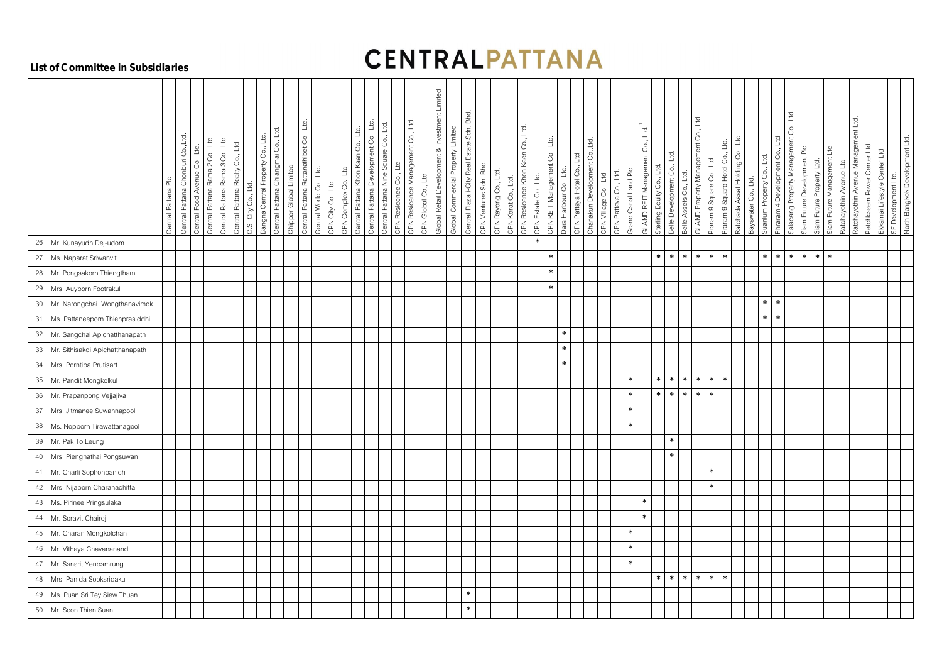# **CENTRALPATTANA**

#### **List of Committee in Subsidiaries**

|          |                                                                  | Central Pattana Plc | Central Pattana Chonburi Co., Ltd.<br>$\overline{10}$<br>S.<br>Central Food Avenue | Co., Ltd.<br>Central Pattana Rama 2 | Central Pattana Rama 3 Co., Ltd<br>Ltd.<br>$_{\rm Co.}$<br>Central Pattana Realty | Ltd.<br>City Co.<br>C.S. | $L_{\overline{G}}$<br>Co.,<br>Bangna Central Property | Central Pattana Chiangmai Co., Ltd.<br>Chipper Global Limited | Central Pattana Rattanathibet Co., Ltd. | Central World Co., Ltd.<br>CPN City Co., Ltd. | Ltd.<br>CPN Complex Co., | Central Pattana Development Co., Ltd.<br>Co., Ltd.<br>Central Pattana Khon Kaen | Central Pattana Nine Square Co., Ltd. | L <sub>0</sub><br>CPN Residence Co., | CPN Residence Management Co., Ltd<br>CPN Global Co., Ltd. | Global Retail Development & Investment Limited | Global Commercial Property Limited | Central Plaza i-City Real Estate Sdn. Bhd. | CPN Ventures Sdn. Bhd.<br>CPN Rayong Co., Ltd. | CPN Residence Khon Kaen Co., Ltd.<br>$L_{\text{C}}$<br>Ŝ.<br>$\overline{\overline{\mathfrak{p}}}$<br>CPN Kora | CPN REIT Management Co., Ltd.<br>CPN Estate Co., Ltd | Ltd<br>Dara Harbour Co., | Ltd.<br>CPN Pattaya Hotel Co., | Chanakun Development Co., Ltd.<br>CPN Village Co., Ltd. | Grand Canal Land Plc<br>$L_{\text{G}}$<br>CPN Pattaya Co., | GLAND REIT Management Co., Ltd.<br>$\Box$ | Ltd.<br>Belle Development Co<br>Sterling Equity Co., | Belle Assets Co., Ltd. | GLAND Property Management Co., Ltd.<br>$\frac{1}{2}$<br>Co.,<br>Praram 9 Square | Hote<br>Square<br>$\infty$<br>Praram | Ratchada Asset Holding Co., Ltd. | Suanlum Property Co., Ltd.<br>Bayswater Co., Ltd. | Co., Ltd.<br>Ltd<br>රි<br>lent<br>Developm<br>$\overline{\mathcal{A}}$<br>Phraram<br>L | Saladang Property Management<br>Siam Future Development Plc | Siam Future Property Ltd. | Siam Future Management Ltd. | $L_{\overline{G}}$<br>Avenue<br>Ratchayothin / | Management Ltd.<br>Ltd.<br>Center<br>Avenue<br>Petchkasem Power<br>Ratchayothin | Ekkamai Lifestyle Center Ltd. | SF Development Ltd. | North Bangkok Development Ltd |
|----------|------------------------------------------------------------------|---------------------|------------------------------------------------------------------------------------|-------------------------------------|-----------------------------------------------------------------------------------|--------------------------|-------------------------------------------------------|---------------------------------------------------------------|-----------------------------------------|-----------------------------------------------|--------------------------|---------------------------------------------------------------------------------|---------------------------------------|--------------------------------------|-----------------------------------------------------------|------------------------------------------------|------------------------------------|--------------------------------------------|------------------------------------------------|---------------------------------------------------------------------------------------------------------------|------------------------------------------------------|--------------------------|--------------------------------|---------------------------------------------------------|------------------------------------------------------------|-------------------------------------------|------------------------------------------------------|------------------------|---------------------------------------------------------------------------------|--------------------------------------|----------------------------------|---------------------------------------------------|----------------------------------------------------------------------------------------|-------------------------------------------------------------|---------------------------|-----------------------------|------------------------------------------------|---------------------------------------------------------------------------------|-------------------------------|---------------------|-------------------------------|
| $26\,$   | Mr. Kunayudh Dej-udom                                            |                     |                                                                                    |                                     |                                                                                   |                          |                                                       |                                                               |                                         |                                               |                          |                                                                                 |                                       |                                      |                                                           |                                                |                                    |                                            |                                                |                                                                                                               | $\ast$                                               |                          |                                |                                                         |                                                            |                                           |                                                      |                        |                                                                                 |                                      |                                  |                                                   |                                                                                        |                                                             |                           |                             |                                                |                                                                                 |                               |                     |                               |
| 27       | Ms. Naparat Sriwanvit                                            |                     |                                                                                    |                                     |                                                                                   |                          |                                                       |                                                               |                                         |                                               |                          |                                                                                 |                                       |                                      |                                                           |                                                |                                    |                                            |                                                |                                                                                                               | $\ast$                                               |                          |                                |                                                         |                                                            |                                           | $\ast$<br>$\ast$                                     | $\ast$                 | $\ast$<br>$\ast$                                                                | $\ast$                               |                                  | $\ast$                                            | $\ast$                                                                                 | $\ast$<br>$\ast$                                            | $\ast$                    | $\ast$                      |                                                |                                                                                 |                               |                     |                               |
| 28       | Mr. Pongsakorn Thiengtham                                        |                     |                                                                                    |                                     |                                                                                   |                          |                                                       |                                                               |                                         |                                               |                          |                                                                                 |                                       |                                      |                                                           |                                                |                                    |                                            |                                                |                                                                                                               | $\ast$<br>$\ast$                                     |                          |                                |                                                         |                                                            |                                           |                                                      |                        |                                                                                 |                                      |                                  |                                                   |                                                                                        |                                                             |                           |                             |                                                |                                                                                 |                               |                     |                               |
| $29\,$   | Mrs. Auyporn Footrakul                                           |                     |                                                                                    |                                     |                                                                                   |                          |                                                       |                                                               |                                         |                                               |                          |                                                                                 |                                       |                                      |                                                           |                                                |                                    |                                            |                                                |                                                                                                               |                                                      |                          |                                |                                                         |                                                            |                                           |                                                      |                        |                                                                                 |                                      |                                  | $*$                                               | $\ast$                                                                                 |                                                             |                           |                             |                                                |                                                                                 |                               |                     |                               |
| $30\,$   | Mr. Narongchai Wongthanavimok                                    |                     |                                                                                    |                                     |                                                                                   |                          |                                                       |                                                               |                                         |                                               |                          |                                                                                 |                                       |                                      |                                                           |                                                |                                    |                                            |                                                |                                                                                                               |                                                      |                          |                                |                                                         |                                                            |                                           |                                                      |                        |                                                                                 |                                      |                                  | $\ast$                                            | $\ast$                                                                                 |                                                             |                           |                             |                                                |                                                                                 |                               |                     |                               |
| 31       | Ms. Pattaneeporn Thienprasiddhi                                  |                     |                                                                                    |                                     |                                                                                   |                          |                                                       |                                                               |                                         |                                               |                          |                                                                                 |                                       |                                      |                                                           |                                                |                                    |                                            |                                                |                                                                                                               |                                                      | $\ast$                   |                                |                                                         |                                                            |                                           |                                                      |                        |                                                                                 |                                      |                                  |                                                   |                                                                                        |                                                             |                           |                             |                                                |                                                                                 |                               |                     |                               |
| 32<br>33 | Mr. Sangchai Apichatthanapath<br>Mr. Sithisakdi Apichatthanapath |                     |                                                                                    |                                     |                                                                                   |                          |                                                       |                                                               |                                         |                                               |                          |                                                                                 |                                       |                                      |                                                           |                                                |                                    |                                            |                                                |                                                                                                               |                                                      | $\ast$                   |                                |                                                         |                                                            |                                           |                                                      |                        |                                                                                 |                                      |                                  |                                                   |                                                                                        |                                                             |                           |                             |                                                |                                                                                 |                               |                     |                               |
| 34       | Mrs. Porntipa Prutisart                                          |                     |                                                                                    |                                     |                                                                                   |                          |                                                       |                                                               |                                         |                                               |                          |                                                                                 |                                       |                                      |                                                           |                                                |                                    |                                            |                                                |                                                                                                               |                                                      | $\ast$                   |                                |                                                         |                                                            |                                           |                                                      |                        |                                                                                 |                                      |                                  |                                                   |                                                                                        |                                                             |                           |                             |                                                |                                                                                 |                               |                     |                               |
| 35       | Mr. Pandit Mongkolkul                                            |                     |                                                                                    |                                     |                                                                                   |                          |                                                       |                                                               |                                         |                                               |                          |                                                                                 |                                       |                                      |                                                           |                                                |                                    |                                            |                                                |                                                                                                               |                                                      |                          |                                |                                                         | $\ast$                                                     |                                           | $\ast$                                               | $\ast$                 | $\ast$<br>$\ast$                                                                | $\ast$                               |                                  |                                                   |                                                                                        |                                                             |                           |                             |                                                |                                                                                 |                               |                     |                               |
| $36\,$   | Mr. Prapanpong Vejjajiva                                         |                     |                                                                                    |                                     |                                                                                   |                          |                                                       |                                                               |                                         |                                               |                          |                                                                                 |                                       |                                      |                                                           |                                                |                                    |                                            |                                                |                                                                                                               |                                                      |                          |                                |                                                         | $\ast$                                                     |                                           | $\ast$<br>$\ast$                                     | $\ast$                 | $\ast$<br>$\ast$                                                                |                                      |                                  |                                                   |                                                                                        |                                                             |                           |                             |                                                |                                                                                 |                               |                     |                               |
| 37       | Mrs. Jitmanee Suwannapool                                        |                     |                                                                                    |                                     |                                                                                   |                          |                                                       |                                                               |                                         |                                               |                          |                                                                                 |                                       |                                      |                                                           |                                                |                                    |                                            |                                                |                                                                                                               |                                                      |                          |                                |                                                         | $\ast$                                                     |                                           |                                                      |                        |                                                                                 |                                      |                                  |                                                   |                                                                                        |                                                             |                           |                             |                                                |                                                                                 |                               |                     |                               |
| 38       | Ms. Nopporn Tirawattanagool                                      |                     |                                                                                    |                                     |                                                                                   |                          |                                                       |                                                               |                                         |                                               |                          |                                                                                 |                                       |                                      |                                                           |                                                |                                    |                                            |                                                |                                                                                                               |                                                      |                          |                                |                                                         | $\ast$                                                     |                                           |                                                      |                        |                                                                                 |                                      |                                  |                                                   |                                                                                        |                                                             |                           |                             |                                                |                                                                                 |                               |                     |                               |
|          | 39 Mr. Pak To Leung                                              |                     |                                                                                    |                                     |                                                                                   |                          |                                                       |                                                               |                                         |                                               |                          |                                                                                 |                                       |                                      |                                                           |                                                |                                    |                                            |                                                |                                                                                                               |                                                      |                          |                                |                                                         |                                                            |                                           | $\ast$                                               |                        |                                                                                 |                                      |                                  |                                                   |                                                                                        |                                                             |                           |                             |                                                |                                                                                 |                               |                     |                               |
|          | 40 Mrs. Pienghathai Pongsuwan                                    |                     |                                                                                    |                                     |                                                                                   |                          |                                                       |                                                               |                                         |                                               |                          |                                                                                 |                                       |                                      |                                                           |                                                |                                    |                                            |                                                |                                                                                                               |                                                      |                          |                                |                                                         |                                                            |                                           | $\ast$                                               |                        |                                                                                 |                                      |                                  |                                                   |                                                                                        |                                                             |                           |                             |                                                |                                                                                 |                               |                     |                               |
|          | 41 Mr. Charli Sophonpanich                                       |                     |                                                                                    |                                     |                                                                                   |                          |                                                       |                                                               |                                         |                                               |                          |                                                                                 |                                       |                                      |                                                           |                                                |                                    |                                            |                                                |                                                                                                               |                                                      |                          |                                |                                                         |                                                            |                                           |                                                      |                        | $\ast$                                                                          |                                      |                                  |                                                   |                                                                                        |                                                             |                           |                             |                                                |                                                                                 |                               |                     |                               |
|          | 42 Mrs. Nijaporn Charanachitta                                   |                     |                                                                                    |                                     |                                                                                   |                          |                                                       |                                                               |                                         |                                               |                          |                                                                                 |                                       |                                      |                                                           |                                                |                                    |                                            |                                                |                                                                                                               |                                                      |                          |                                |                                                         |                                                            |                                           |                                                      |                        | $\ast$                                                                          |                                      |                                  |                                                   |                                                                                        |                                                             |                           |                             |                                                |                                                                                 |                               |                     |                               |
|          | 43 Ms. Pirinee Pringsulaka                                       |                     |                                                                                    |                                     |                                                                                   |                          |                                                       |                                                               |                                         |                                               |                          |                                                                                 |                                       |                                      |                                                           |                                                |                                    |                                            |                                                |                                                                                                               |                                                      |                          |                                |                                                         |                                                            | $\ast$                                    |                                                      |                        |                                                                                 |                                      |                                  |                                                   |                                                                                        |                                                             |                           |                             |                                                |                                                                                 |                               |                     |                               |
|          | 44 Mr. Soravit Chairoj                                           |                     |                                                                                    |                                     |                                                                                   |                          |                                                       |                                                               |                                         |                                               |                          |                                                                                 |                                       |                                      |                                                           |                                                |                                    |                                            |                                                |                                                                                                               |                                                      |                          |                                |                                                         |                                                            | $\ast$                                    |                                                      |                        |                                                                                 |                                      |                                  |                                                   |                                                                                        |                                                             |                           |                             |                                                |                                                                                 |                               |                     |                               |
|          | 45 Mr. Charan Mongkolchan                                        |                     |                                                                                    |                                     |                                                                                   |                          |                                                       |                                                               |                                         |                                               |                          |                                                                                 |                                       |                                      |                                                           |                                                |                                    |                                            |                                                |                                                                                                               |                                                      |                          |                                |                                                         | $\ast$                                                     |                                           |                                                      |                        |                                                                                 |                                      |                                  |                                                   |                                                                                        |                                                             |                           |                             |                                                |                                                                                 |                               |                     |                               |
|          | 46 Mr. Vithaya Chavananand                                       |                     |                                                                                    |                                     |                                                                                   |                          |                                                       |                                                               |                                         |                                               |                          |                                                                                 |                                       |                                      |                                                           |                                                |                                    |                                            |                                                |                                                                                                               |                                                      |                          |                                |                                                         | $\ast$                                                     |                                           |                                                      |                        |                                                                                 |                                      |                                  |                                                   |                                                                                        |                                                             |                           |                             |                                                |                                                                                 |                               |                     |                               |
|          | 47 Mr. Sansrit Yenbamrung                                        |                     |                                                                                    |                                     |                                                                                   |                          |                                                       |                                                               |                                         |                                               |                          |                                                                                 |                                       |                                      |                                                           |                                                |                                    |                                            |                                                |                                                                                                               |                                                      |                          |                                |                                                         | $\ast$                                                     |                                           |                                                      |                        |                                                                                 |                                      |                                  |                                                   |                                                                                        |                                                             |                           |                             |                                                |                                                                                 |                               |                     |                               |
|          | 48 Mrs. Panida Sooksridakul                                      |                     |                                                                                    |                                     |                                                                                   |                          |                                                       |                                                               |                                         |                                               |                          |                                                                                 |                                       |                                      |                                                           |                                                |                                    |                                            |                                                |                                                                                                               |                                                      |                          |                                |                                                         |                                                            |                                           | $\ast$<br>$\ast$                                     | $\ast$                 | $\ast$<br>$\ast$                                                                | $\ast$                               |                                  |                                                   |                                                                                        |                                                             |                           |                             |                                                |                                                                                 |                               |                     |                               |
|          | 49 Ms. Puan Sri Tey Siew Thuan                                   |                     |                                                                                    |                                     |                                                                                   |                          |                                                       |                                                               |                                         |                                               |                          |                                                                                 |                                       |                                      |                                                           |                                                |                                    | $\ast$                                     |                                                |                                                                                                               |                                                      |                          |                                |                                                         |                                                            |                                           |                                                      |                        |                                                                                 |                                      |                                  |                                                   |                                                                                        |                                                             |                           |                             |                                                |                                                                                 |                               |                     |                               |
|          | 50 Mr. Soon Thien Suan                                           |                     |                                                                                    |                                     |                                                                                   |                          |                                                       |                                                               |                                         |                                               |                          |                                                                                 |                                       |                                      |                                                           |                                                |                                    | $\ast$                                     |                                                |                                                                                                               |                                                      |                          |                                |                                                         |                                                            |                                           |                                                      |                        |                                                                                 |                                      |                                  |                                                   |                                                                                        |                                                             |                           |                             |                                                |                                                                                 |                               |                     |                               |